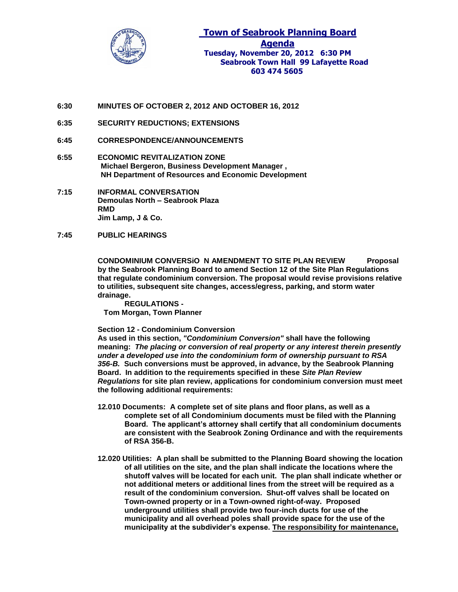

**6:30 MINUTES OF OCTOBER 2, 2012 AND OCTOBER 16, 2012**

- **6:35 SECURITY REDUCTIONS; EXTENSIONS**
- **6:45 CORRESPONDENCE/ANNOUNCEMENTS**
- **6:55 ECONOMIC REVITALIZATION ZONE Michael Bergeron, Business Development Manager , NH Department of Resources and Economic Development**
- **7:15 INFORMAL CONVERSATION Demoulas North – Seabrook Plaza RMD Jim Lamp, J & Co.**
- **7:45 PUBLIC HEARINGS**

**CONDOMINIUM CONVERSiO N AMENDMENT TO SITE PLAN REVIEW Proposal by the Seabrook Planning Board to amend Section 12 of the Site Plan Regulations that regulate condominium conversion. The proposal would revise provisions relative to utilities, subsequent site changes, access/egress, parking, and storm water drainage.**

**REGULATIONS - Tom Morgan, Town Planner**

#### **Section 12 - Condominium Conversion**

**As used in this section,** *"Condominium Conversion"* **shall have the following meaning:** *The placing or conversion of real property or any interest therein presently under a developed use into the condominium form of ownership pursuant to RSA 356-B.* **Such conversions must be approved, in advance, by the Seabrook Planning Board. In addition to the requirements specified in these** *Site Plan Review Regulations* **for site plan review, applications for condominium conversion must meet the following additional requirements:** 

- **12.010 Documents: A complete set of site plans and floor plans, as well as a complete set of all Condominium documents must be filed with the Planning Board. The applicant's attorney shall certify that all condominium documents are consistent with the Seabrook Zoning Ordinance and with the requirements of RSA 356-B.**
- **12.020 Utilities: A plan shall be submitted to the Planning Board showing the location of all utilities on the site, and the plan shall indicate the locations where the shutoff valves will be located for each unit. The plan shall indicate whether or not additional meters or additional lines from the street will be required as a result of the condominium conversion. Shut-off valves shall be located on Town-owned property or in a Town-owned right-of-way. Proposed underground utilities shall provide two four-inch ducts for use of the municipality and all overhead poles shall provide space for the use of the municipality at the subdivider's expense. The responsibility for maintenance,**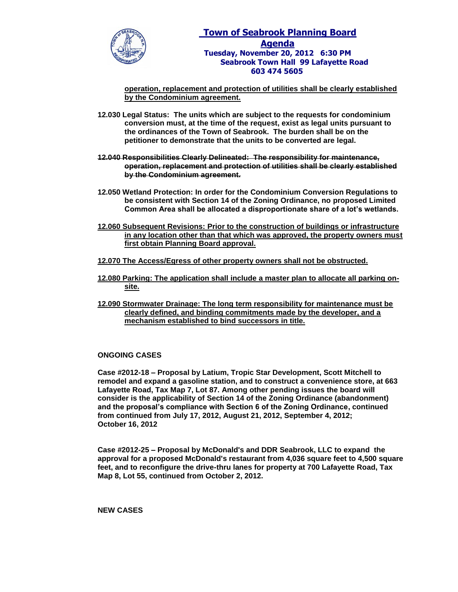

# **Town of Seabrook Planning Board Agenda Tuesday, November 20, 2012 6:30 PM Seabrook Town Hall 99 Lafayette Road 603 474 5605**

**operation, replacement and protection of utilities shall be clearly established by the Condominium agreement.**

- **12.030 Legal Status: The units which are subject to the requests for condominium conversion must, at the time of the request, exist as legal units pursuant to the ordinances of the Town of Seabrook. The burden shall be on the petitioner to demonstrate that the units to be converted are legal.**
- **12.040 Responsibilities Clearly Delineated: The responsibility for maintenance, operation, replacement and protection of utilities shall be clearly established by the Condominium agreement.**
- **12.050 Wetland Protection: In order for the Condominium Conversion Regulations to be consistent with Section 14 of the Zoning Ordinance, no proposed Limited Common Area shall be allocated a disproportionate share of a lot's wetlands.**
- **12.060 Subsequent Revisions: Prior to the construction of buildings or infrastructure in any location other than that which was approved, the property owners must first obtain Planning Board approval.**
- **12.070 The Access/Egress of other property owners shall not be obstructed.**
- **12.080 Parking: The application shall include a master plan to allocate all parking onsite.**
- **12.090 Stormwater Drainage: The long term responsibility for maintenance must be clearly defined, and binding commitments made by the developer, and a mechanism established to bind successors in title.**

## **ONGOING CASES**

**Case #2012-18 – Proposal by Latium, Tropic Star Development, Scott Mitchell to remodel and expand a gasoline station, and to construct a convenience store, at 663 Lafayette Road, Tax Map 7, Lot 87. Among other pending issues the board will consider is the applicability of Section 14 of the Zoning Ordinance (abandonment) and the proposal's compliance with Section 6 of the Zoning Ordinance, continued from continued from July 17, 2012, August 21, 2012, September 4, 2012; October 16, 2012**

**Case #2012-25 – Proposal by McDonald's and DDR Seabrook, LLC to expand the approval for a proposed McDonald's restaurant from 4,036 square feet to 4,500 square feet, and to reconfigure the drive-thru lanes for property at 700 Lafayette Road, Tax Map 8, Lot 55, continued from October 2, 2012.** 

**NEW CASES**